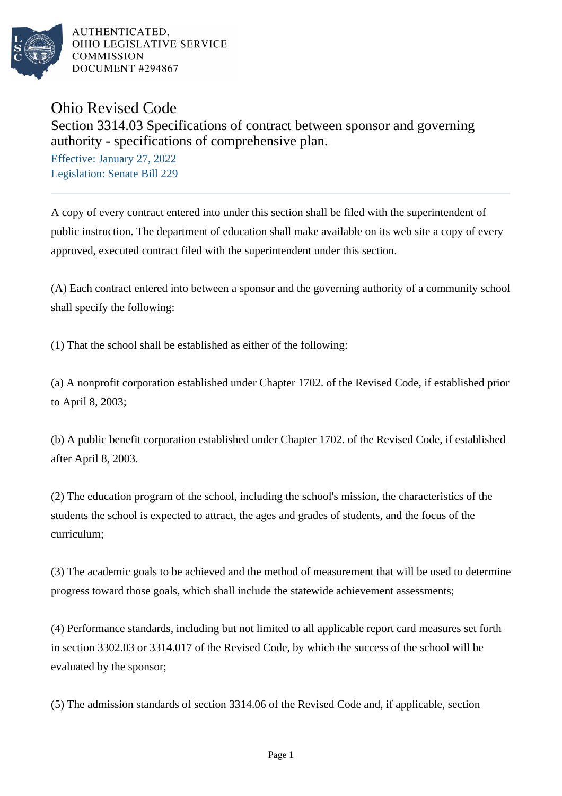

Ohio Revised Code

## Section 3314.03 Specifications of contract between sponsor and governing authority - specifications of comprehensive plan.

Effective: January 27, 2022 Legislation: Senate Bill 229

A copy of every contract entered into under this section shall be filed with the superintendent of public instruction. The department of education shall make available on its web site a copy of every approved, executed contract filed with the superintendent under this section.

(A) Each contract entered into between a sponsor and the governing authority of a community school shall specify the following:

(1) That the school shall be established as either of the following:

(a) A nonprofit corporation established under Chapter 1702. of the Revised Code, if established prior to April 8, 2003;

(b) A public benefit corporation established under Chapter 1702. of the Revised Code, if established after April 8, 2003.

(2) The education program of the school, including the school's mission, the characteristics of the students the school is expected to attract, the ages and grades of students, and the focus of the curriculum;

(3) The academic goals to be achieved and the method of measurement that will be used to determine progress toward those goals, which shall include the statewide achievement assessments;

(4) Performance standards, including but not limited to all applicable report card measures set forth in section 3302.03 or 3314.017 of the Revised Code, by which the success of the school will be evaluated by the sponsor;

(5) The admission standards of section 3314.06 of the Revised Code and, if applicable, section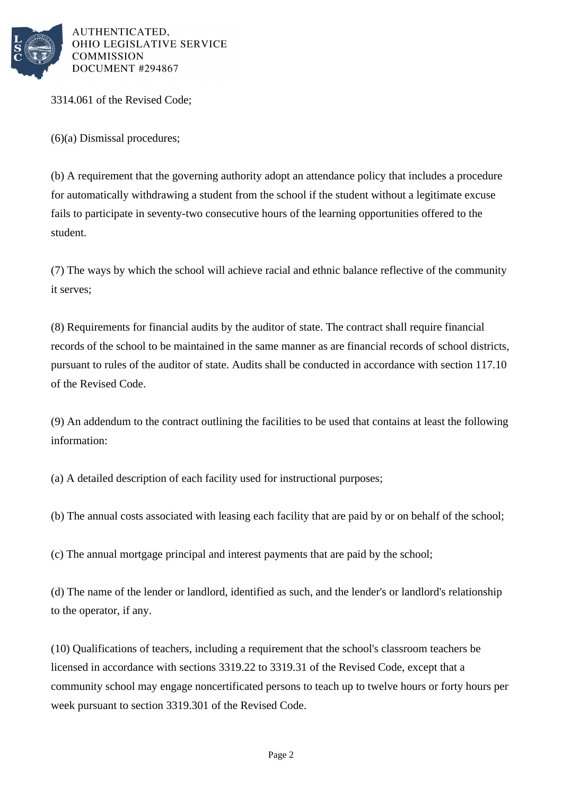

3314.061 of the Revised Code;

(6)(a) Dismissal procedures;

(b) A requirement that the governing authority adopt an attendance policy that includes a procedure for automatically withdrawing a student from the school if the student without a legitimate excuse fails to participate in seventy-two consecutive hours of the learning opportunities offered to the student.

(7) The ways by which the school will achieve racial and ethnic balance reflective of the community it serves;

(8) Requirements for financial audits by the auditor of state. The contract shall require financial records of the school to be maintained in the same manner as are financial records of school districts, pursuant to rules of the auditor of state. Audits shall be conducted in accordance with section 117.10 of the Revised Code.

(9) An addendum to the contract outlining the facilities to be used that contains at least the following information:

(a) A detailed description of each facility used for instructional purposes;

(b) The annual costs associated with leasing each facility that are paid by or on behalf of the school;

(c) The annual mortgage principal and interest payments that are paid by the school;

(d) The name of the lender or landlord, identified as such, and the lender's or landlord's relationship to the operator, if any.

(10) Qualifications of teachers, including a requirement that the school's classroom teachers be licensed in accordance with sections 3319.22 to 3319.31 of the Revised Code, except that a community school may engage noncertificated persons to teach up to twelve hours or forty hours per week pursuant to section 3319.301 of the Revised Code.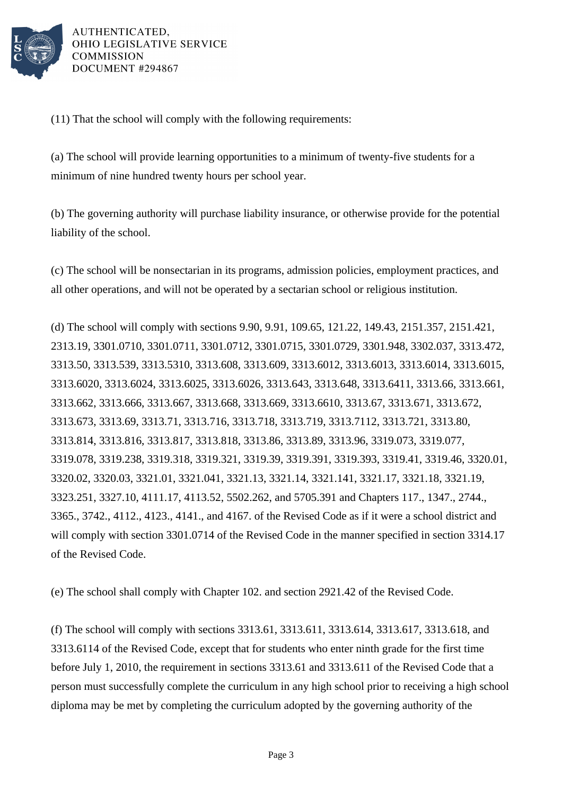

(11) That the school will comply with the following requirements:

(a) The school will provide learning opportunities to a minimum of twenty-five students for a minimum of nine hundred twenty hours per school year.

(b) The governing authority will purchase liability insurance, or otherwise provide for the potential liability of the school.

(c) The school will be nonsectarian in its programs, admission policies, employment practices, and all other operations, and will not be operated by a sectarian school or religious institution.

(d) The school will comply with sections 9.90, 9.91, 109.65, 121.22, 149.43, 2151.357, 2151.421, 2313.19, 3301.0710, 3301.0711, 3301.0712, 3301.0715, 3301.0729, 3301.948, 3302.037, 3313.472, 3313.50, 3313.539, 3313.5310, 3313.608, 3313.609, 3313.6012, 3313.6013, 3313.6014, 3313.6015, 3313.6020, 3313.6024, 3313.6025, 3313.6026, 3313.643, 3313.648, 3313.6411, 3313.66, 3313.661, 3313.662, 3313.666, 3313.667, 3313.668, 3313.669, 3313.6610, 3313.67, 3313.671, 3313.672, 3313.673, 3313.69, 3313.71, 3313.716, 3313.718, 3313.719, 3313.7112, 3313.721, 3313.80, 3313.814, 3313.816, 3313.817, 3313.818, 3313.86, 3313.89, 3313.96, 3319.073, 3319.077, 3319.078, 3319.238, 3319.318, 3319.321, 3319.39, 3319.391, 3319.393, 3319.41, 3319.46, 3320.01, 3320.02, 3320.03, 3321.01, 3321.041, 3321.13, 3321.14, 3321.141, 3321.17, 3321.18, 3321.19, 3323.251, 3327.10, 4111.17, 4113.52, 5502.262, and 5705.391 and Chapters 117., 1347., 2744., 3365., 3742., 4112., 4123., 4141., and 4167. of the Revised Code as if it were a school district and will comply with section 3301.0714 of the Revised Code in the manner specified in section 3314.17 of the Revised Code.

(e) The school shall comply with Chapter 102. and section 2921.42 of the Revised Code.

(f) The school will comply with sections 3313.61, 3313.611, 3313.614, 3313.617, 3313.618, and 3313.6114 of the Revised Code, except that for students who enter ninth grade for the first time before July 1, 2010, the requirement in sections 3313.61 and 3313.611 of the Revised Code that a person must successfully complete the curriculum in any high school prior to receiving a high school diploma may be met by completing the curriculum adopted by the governing authority of the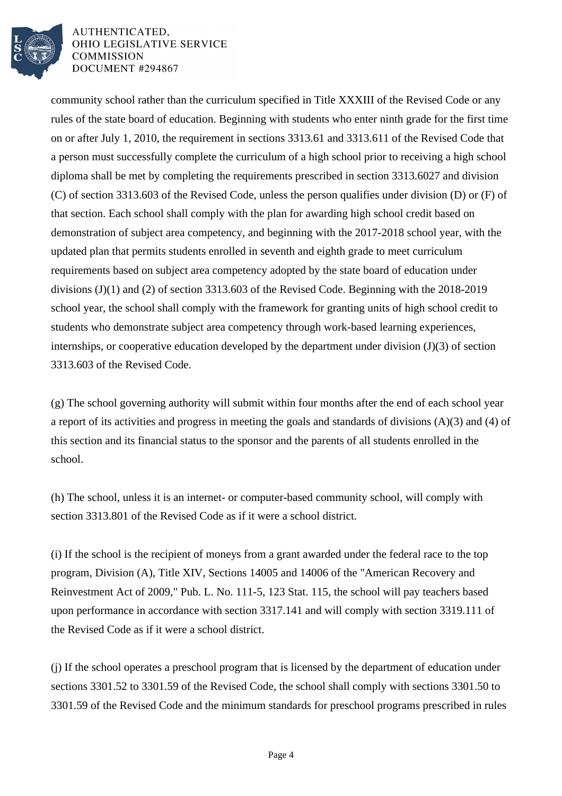

community school rather than the curriculum specified in Title XXXIII of the Revised Code or any rules of the state board of education. Beginning with students who enter ninth grade for the first time on or after July 1, 2010, the requirement in sections 3313.61 and 3313.611 of the Revised Code that a person must successfully complete the curriculum of a high school prior to receiving a high school diploma shall be met by completing the requirements prescribed in section 3313.6027 and division (C) of section 3313.603 of the Revised Code, unless the person qualifies under division (D) or (F) of that section. Each school shall comply with the plan for awarding high school credit based on demonstration of subject area competency, and beginning with the 2017-2018 school year, with the updated plan that permits students enrolled in seventh and eighth grade to meet curriculum requirements based on subject area competency adopted by the state board of education under divisions (J)(1) and (2) of section 3313.603 of the Revised Code. Beginning with the 2018-2019 school year, the school shall comply with the framework for granting units of high school credit to students who demonstrate subject area competency through work-based learning experiences, internships, or cooperative education developed by the department under division (J)(3) of section 3313.603 of the Revised Code.

(g) The school governing authority will submit within four months after the end of each school year a report of its activities and progress in meeting the goals and standards of divisions (A)(3) and (4) of this section and its financial status to the sponsor and the parents of all students enrolled in the school.

(h) The school, unless it is an internet- or computer-based community school, will comply with section 3313.801 of the Revised Code as if it were a school district.

(i) If the school is the recipient of moneys from a grant awarded under the federal race to the top program, Division (A), Title XIV, Sections 14005 and 14006 of the "American Recovery and Reinvestment Act of 2009," Pub. L. No. 111-5, 123 Stat. 115, the school will pay teachers based upon performance in accordance with section 3317.141 and will comply with section 3319.111 of the Revised Code as if it were a school district.

(j) If the school operates a preschool program that is licensed by the department of education under sections 3301.52 to 3301.59 of the Revised Code, the school shall comply with sections 3301.50 to 3301.59 of the Revised Code and the minimum standards for preschool programs prescribed in rules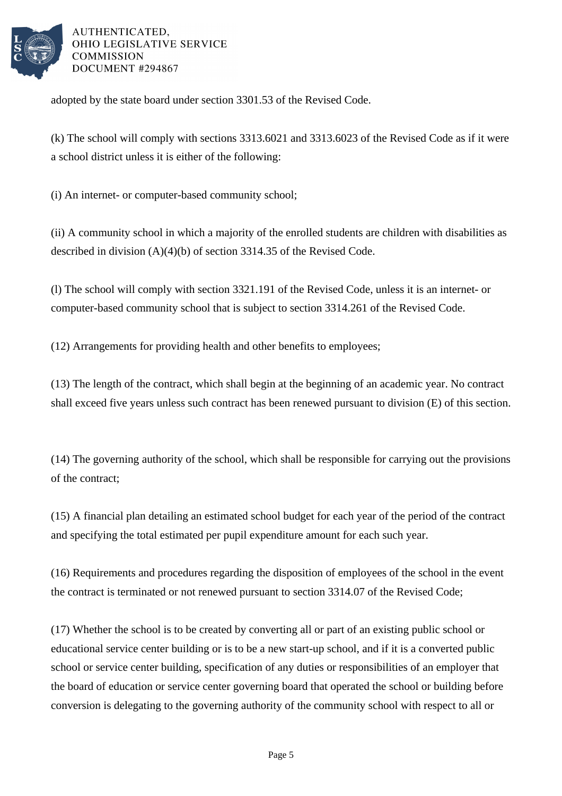

adopted by the state board under section 3301.53 of the Revised Code.

(k) The school will comply with sections 3313.6021 and 3313.6023 of the Revised Code as if it were a school district unless it is either of the following:

(i) An internet- or computer-based community school;

(ii) A community school in which a majority of the enrolled students are children with disabilities as described in division (A)(4)(b) of section 3314.35 of the Revised Code.

(l) The school will comply with section 3321.191 of the Revised Code, unless it is an internet- or computer-based community school that is subject to section 3314.261 of the Revised Code.

(12) Arrangements for providing health and other benefits to employees;

(13) The length of the contract, which shall begin at the beginning of an academic year. No contract shall exceed five years unless such contract has been renewed pursuant to division (E) of this section.

(14) The governing authority of the school, which shall be responsible for carrying out the provisions of the contract;

(15) A financial plan detailing an estimated school budget for each year of the period of the contract and specifying the total estimated per pupil expenditure amount for each such year.

(16) Requirements and procedures regarding the disposition of employees of the school in the event the contract is terminated or not renewed pursuant to section 3314.07 of the Revised Code;

(17) Whether the school is to be created by converting all or part of an existing public school or educational service center building or is to be a new start-up school, and if it is a converted public school or service center building, specification of any duties or responsibilities of an employer that the board of education or service center governing board that operated the school or building before conversion is delegating to the governing authority of the community school with respect to all or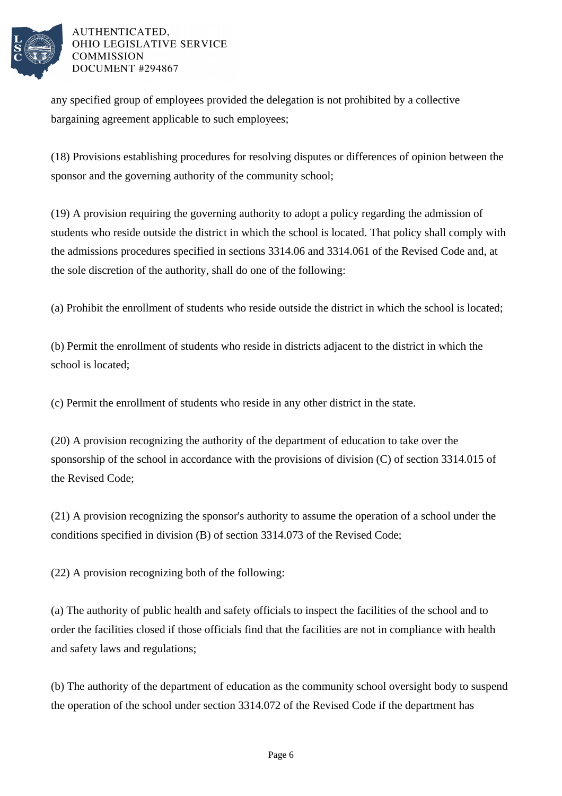

any specified group of employees provided the delegation is not prohibited by a collective bargaining agreement applicable to such employees;

(18) Provisions establishing procedures for resolving disputes or differences of opinion between the sponsor and the governing authority of the community school;

(19) A provision requiring the governing authority to adopt a policy regarding the admission of students who reside outside the district in which the school is located. That policy shall comply with the admissions procedures specified in sections 3314.06 and 3314.061 of the Revised Code and, at the sole discretion of the authority, shall do one of the following:

(a) Prohibit the enrollment of students who reside outside the district in which the school is located;

(b) Permit the enrollment of students who reside in districts adjacent to the district in which the school is located;

(c) Permit the enrollment of students who reside in any other district in the state.

(20) A provision recognizing the authority of the department of education to take over the sponsorship of the school in accordance with the provisions of division (C) of section 3314.015 of the Revised Code;

(21) A provision recognizing the sponsor's authority to assume the operation of a school under the conditions specified in division (B) of section 3314.073 of the Revised Code;

(22) A provision recognizing both of the following:

(a) The authority of public health and safety officials to inspect the facilities of the school and to order the facilities closed if those officials find that the facilities are not in compliance with health and safety laws and regulations;

(b) The authority of the department of education as the community school oversight body to suspend the operation of the school under section 3314.072 of the Revised Code if the department has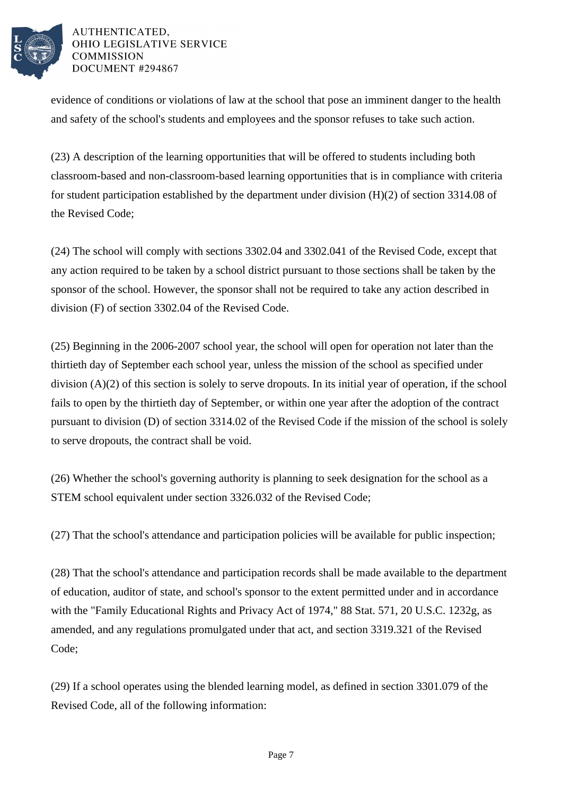

evidence of conditions or violations of law at the school that pose an imminent danger to the health and safety of the school's students and employees and the sponsor refuses to take such action.

(23) A description of the learning opportunities that will be offered to students including both classroom-based and non-classroom-based learning opportunities that is in compliance with criteria for student participation established by the department under division (H)(2) of section 3314.08 of the Revised Code;

(24) The school will comply with sections 3302.04 and 3302.041 of the Revised Code, except that any action required to be taken by a school district pursuant to those sections shall be taken by the sponsor of the school. However, the sponsor shall not be required to take any action described in division (F) of section 3302.04 of the Revised Code.

(25) Beginning in the 2006-2007 school year, the school will open for operation not later than the thirtieth day of September each school year, unless the mission of the school as specified under division (A)(2) of this section is solely to serve dropouts. In its initial year of operation, if the school fails to open by the thirtieth day of September, or within one year after the adoption of the contract pursuant to division (D) of section 3314.02 of the Revised Code if the mission of the school is solely to serve dropouts, the contract shall be void.

(26) Whether the school's governing authority is planning to seek designation for the school as a STEM school equivalent under section 3326.032 of the Revised Code;

(27) That the school's attendance and participation policies will be available for public inspection;

(28) That the school's attendance and participation records shall be made available to the department of education, auditor of state, and school's sponsor to the extent permitted under and in accordance with the "Family Educational Rights and Privacy Act of 1974," 88 Stat. 571, 20 U.S.C. 1232g, as amended, and any regulations promulgated under that act, and section 3319.321 of the Revised Code;

(29) If a school operates using the blended learning model, as defined in section 3301.079 of the Revised Code, all of the following information: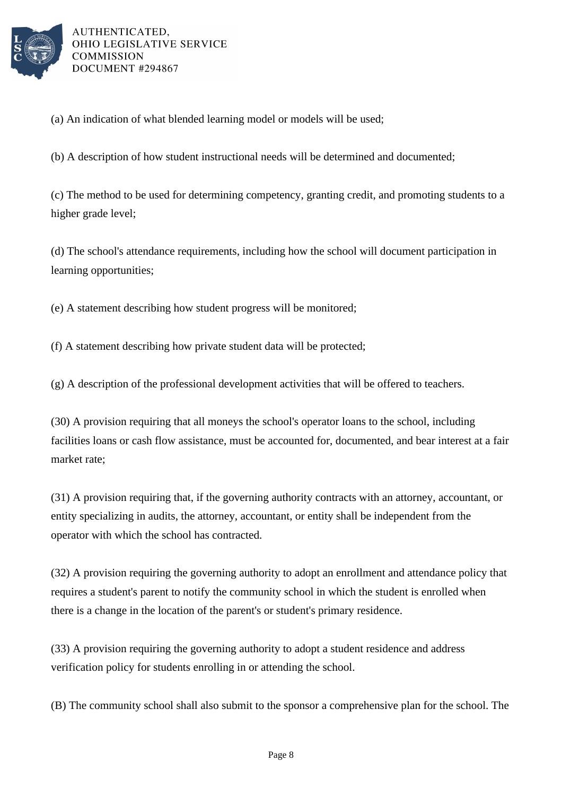

(a) An indication of what blended learning model or models will be used;

(b) A description of how student instructional needs will be determined and documented;

(c) The method to be used for determining competency, granting credit, and promoting students to a higher grade level;

(d) The school's attendance requirements, including how the school will document participation in learning opportunities;

(e) A statement describing how student progress will be monitored;

(f) A statement describing how private student data will be protected;

(g) A description of the professional development activities that will be offered to teachers.

(30) A provision requiring that all moneys the school's operator loans to the school, including facilities loans or cash flow assistance, must be accounted for, documented, and bear interest at a fair market rate;

(31) A provision requiring that, if the governing authority contracts with an attorney, accountant, or entity specializing in audits, the attorney, accountant, or entity shall be independent from the operator with which the school has contracted.

(32) A provision requiring the governing authority to adopt an enrollment and attendance policy that requires a student's parent to notify the community school in which the student is enrolled when there is a change in the location of the parent's or student's primary residence.

(33) A provision requiring the governing authority to adopt a student residence and address verification policy for students enrolling in or attending the school.

(B) The community school shall also submit to the sponsor a comprehensive plan for the school. The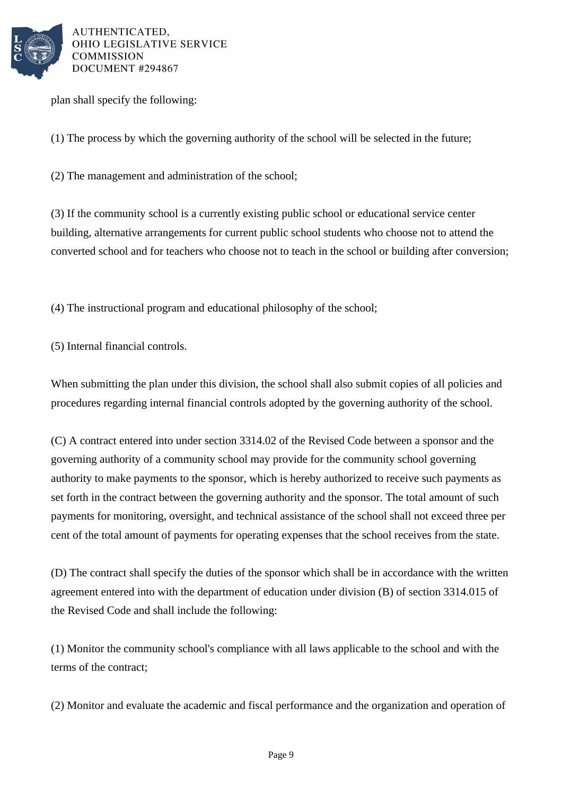

plan shall specify the following:

(1) The process by which the governing authority of the school will be selected in the future;

(2) The management and administration of the school;

(3) If the community school is a currently existing public school or educational service center building, alternative arrangements for current public school students who choose not to attend the converted school and for teachers who choose not to teach in the school or building after conversion;

(4) The instructional program and educational philosophy of the school;

(5) Internal financial controls.

When submitting the plan under this division, the school shall also submit copies of all policies and procedures regarding internal financial controls adopted by the governing authority of the school.

(C) A contract entered into under section 3314.02 of the Revised Code between a sponsor and the governing authority of a community school may provide for the community school governing authority to make payments to the sponsor, which is hereby authorized to receive such payments as set forth in the contract between the governing authority and the sponsor. The total amount of such payments for monitoring, oversight, and technical assistance of the school shall not exceed three per cent of the total amount of payments for operating expenses that the school receives from the state.

(D) The contract shall specify the duties of the sponsor which shall be in accordance with the written agreement entered into with the department of education under division (B) of section 3314.015 of the Revised Code and shall include the following:

(1) Monitor the community school's compliance with all laws applicable to the school and with the terms of the contract;

(2) Monitor and evaluate the academic and fiscal performance and the organization and operation of